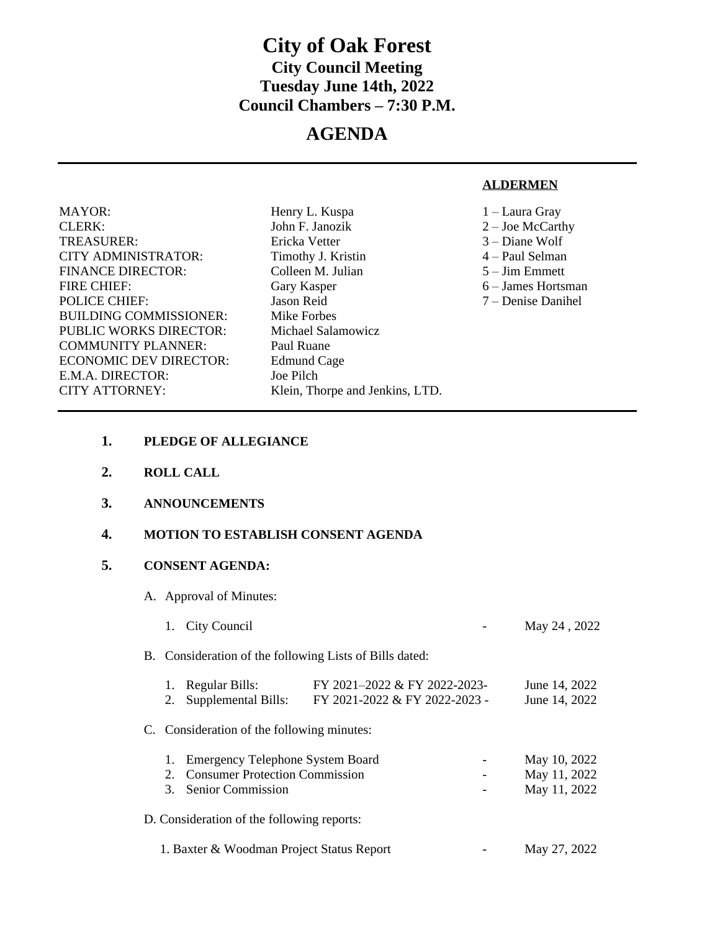# **City of Oak Forest City Council Meeting Tuesday June 14th, 2022 Council Chambers – 7:30 P.M.**

# **AGENDA**

#### **ALDERMEN**

| <b>MAYOR:</b>                 | Henry L. Kuspa                  | 1 – Laura Gray     |
|-------------------------------|---------------------------------|--------------------|
| <b>CLERK:</b>                 | John F. Janozik                 | $2 -$ Joe McCarthy |
| TREASURER:                    | Ericka Vetter                   | $3 -$ Diane Wolf   |
| <b>CITY ADMINISTRATOR:</b>    | Timothy J. Kristin              | 4 – Paul Selman    |
| <b>FINANCE DIRECTOR:</b>      | Colleen M. Julian               | $5 - Jim Emmett$   |
| <b>FIRE CHIEF:</b>            | Gary Kasper                     | 6 – James Hortsman |
| <b>POLICE CHIEF:</b>          | Jason Reid                      | 7 – Denise Danihel |
| <b>BUILDING COMMISSIONER:</b> | Mike Forbes                     |                    |
| PUBLIC WORKS DIRECTOR:        | Michael Salamowicz              |                    |
| COMMUNITY PLANNER:            | Paul Ruane                      |                    |
| <b>ECONOMIC DEV DIRECTOR:</b> | <b>Edmund Cage</b>              |                    |
| E.M.A. DIRECTOR:              | Joe Pilch                       |                    |
| CITY ATTORNEY:                | Klein, Thorpe and Jenkins, LTD. |                    |
|                               |                                 |                    |

- **1. PLEDGE OF ALLEGIANCE**
- **2. ROLL CALL**
- **3. ANNOUNCEMENTS**
- **4. MOTION TO ESTABLISH CONSENT AGENDA**

## **5. CONSENT AGENDA:**

- A. Approval of Minutes:
	- 1. City Council **May 24**, 2022

B. Consideration of the following Lists of Bills dated:

| 1. Regular Bills:      | FY 2021-2022 & FY 2022-2023-  | June 14, 2022 |
|------------------------|-------------------------------|---------------|
| 2. Supplemental Bills: | FY 2021-2022 & FY 2022-2023 - | June 14, 2022 |

C. Consideration of the following minutes:

| <b>Emergency Telephone System Board</b><br>1.<br><b>Consumer Protection Commission</b><br>2.<br>3. Senior Commission | May 10, 2022<br>May 11, 2022<br>May 11, 2022 |
|----------------------------------------------------------------------------------------------------------------------|----------------------------------------------|
| D. Consideration of the following reports:                                                                           |                                              |
| 1. Baxter & Woodman Project Status Report                                                                            | May 27, 2022                                 |